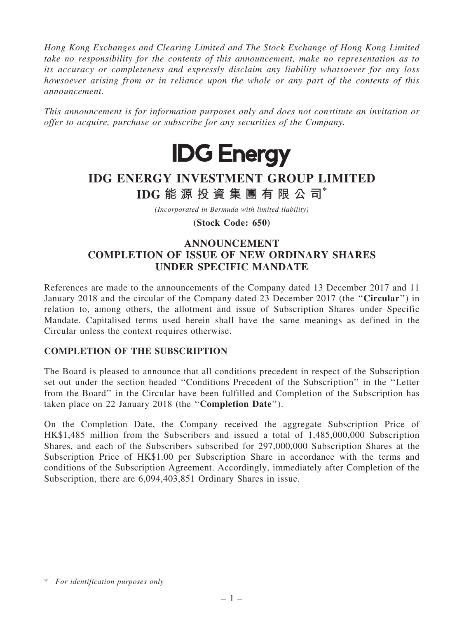*Hong Kong Exchanges and Clearing Limited and The Stock Exchange of Hong Kong Limited take no responsibility for the contents of this announcement, make no representation as to its accuracy or completeness and expressly disclaim any liability whatsoever for any loss howsoever arising from or in reliance upon the whole or any part of the contents of this announcement.*

*This announcement is for information purposes only and does not constitute an invitation or offer to acquire, purchase or subscribe for any securities of the Company.*



# IDG ENERGY INVESTMENT GROUP LIMITED IDG 能 源 投 資 集 團 有 限 公 司\*

*(Incorporated in Bermuda with limited liability)*

(Stock Code: 650)

## ANNOUNCEMENT COMPLETION OF ISSUE OF NEW ORDINARY SHARES UNDER SPECIFIC MANDATE

References are made to the announcements of the Company dated 13 December 2017 and 11 January 2018 and the circular of the Company dated 23 December 2017 (the ''Circular'') in relation to, among others, the allotment and issue of Subscription Shares under Specific Mandate. Capitalised terms used herein shall have the same meanings as defined in the Circular unless the context requires otherwise.

#### COMPLETION OF THE SUBSCRIPTION

The Board is pleased to announce that all conditions precedent in respect of the Subscription set out under the section headed ''Conditions Precedent of the Subscription'' in the ''Letter from the Board'' in the Circular have been fulfilled and Completion of the Subscription has taken place on 22 January 2018 (the ''Completion Date'').

On the Completion Date, the Company received the aggregate Subscription Price of HK\$1,485 million from the Subscribers and issued a total of 1,485,000,000 Subscription Shares, and each of the Subscribers subscribed for 297,000,000 Subscription Shares at the Subscription Price of HK\$1.00 per Subscription Share in accordance with the terms and conditions of the Subscription Agreement. Accordingly, immediately after Completion of the Subscription, there are 6,094,403,851 Ordinary Shares in issue.

<sup>\*</sup> *For identification purposes only*